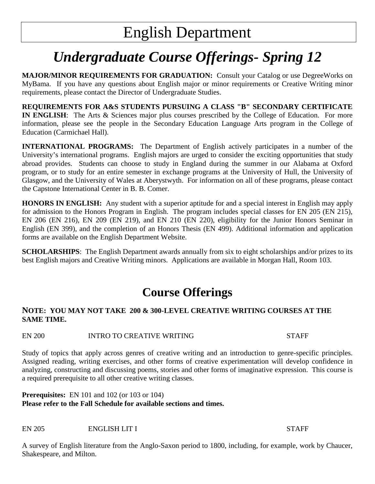# *Undergraduate Course Offerings- Spring 12*

**MAJOR/MINOR REQUIREMENTS FOR GRADUATION:** Consult your Catalog or use DegreeWorks on MyBama. If you have any questions about English major or minor requirements or Creative Writing minor requirements, please contact the Director of Undergraduate Studies.

**REQUIREMENTS FOR A&S STUDENTS PURSUING A CLASS "B" SECONDARY CERTIFICATE IN ENGLISH**: The Arts & Sciences major plus courses prescribed by the College of Education. For more information, please see the people in the Secondary Education Language Arts program in the College of Education (Carmichael Hall).

**INTERNATIONAL PROGRAMS:** The Department of English actively participates in a number of the University's international programs. English majors are urged to consider the exciting opportunities that study abroad provides. Students can choose to study in England during the summer in our Alabama at Oxford program, or to study for an entire semester in exchange programs at the University of Hull, the University of Glasgow, and the University of Wales at Aberystwyth. For information on all of these programs, please contact the Capstone International Center in B. B. Comer.

**HONORS IN ENGLISH:** Any student with a superior aptitude for and a special interest in English may apply for admission to the Honors Program in English. The program includes special classes for EN 205 (EN 215), EN 206 (EN 216), EN 209 (EN 219), and EN 210 (EN 220), eligibility for the Junior Honors Seminar in English (EN 399), and the completion of an Honors Thesis (EN 499). Additional information and application forms are available on the English Department Website.

**SCHOLARSHIPS**: The English Department awards annually from six to eight scholarships and/or prizes to its best English majors and Creative Writing minors. Applications are available in Morgan Hall, Room 103.

# **Course Offerings**

# **NOTE: YOU MAY NOT TAKE 200 & 300-LEVEL CREATIVE WRITING COURSES AT THE SAME TIME.**

EN 200 INTRO TO CREATIVE WRITING STAFF

Study of topics that apply across genres of creative writing and an introduction to genre-specific principles. Assigned reading, writing exercises, and other forms of creative experimentation will develop confidence in analyzing, constructing and discussing poems, stories and other forms of imaginative expression. This course is a required prerequisite to all other creative writing classes.

**Prerequisites:** EN 101 and 102 (or 103 or 104) **Please refer to the Fall Schedule for available sections and times.** 

EN 205 ENGLISH LIT I STAFF

A survey of English literature from the Anglo-Saxon period to 1800, including, for example, work by Chaucer, Shakespeare, and Milton.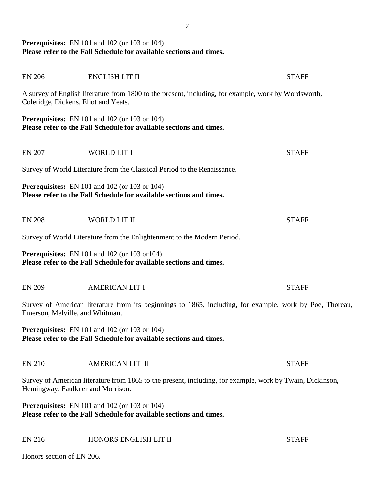# **Prerequisites:** EN 101 and 102 (or 103 or 104) **Please refer to the Fall Schedule for available sections and times.**

| Coleridge, Dickens, Eliot and Yeats. | A survey of English literature from 1800 to the present, including, for example, work by Wordsworth,                        |              |
|--------------------------------------|-----------------------------------------------------------------------------------------------------------------------------|--------------|
|                                      | <b>Prerequisites:</b> EN 101 and 102 (or 103 or 104)<br>Please refer to the Fall Schedule for available sections and times. |              |
| <b>EN 207</b>                        | <b>WORLD LIT I</b>                                                                                                          | <b>STAFF</b> |
|                                      | Survey of World Literature from the Classical Period to the Renaissance.                                                    |              |
|                                      | <b>Prerequisites:</b> EN 101 and 102 (or 103 or 104)<br>Please refer to the Fall Schedule for available sections and times. |              |
| <b>EN 208</b>                        | WORLD LIT II                                                                                                                | <b>STAFF</b> |
|                                      | Survey of World Literature from the Enlightenment to the Modern Period.                                                     |              |
|                                      | <b>Prerequisites:</b> EN 101 and 102 (or 103 or 104)<br>Please refer to the Fall Schedule for available sections and times. |              |
| <b>EN 209</b>                        | <b>AMERICAN LIT I</b>                                                                                                       | <b>STAFF</b> |
| Emerson, Melville, and Whitman.      | Survey of American literature from its beginnings to 1865, including, for example, work by Poe, Thoreau,                    |              |
|                                      | <b>Prerequisites:</b> EN 101 and 102 (or 103 or 104)<br>Please refer to the Fall Schedule for available sections and times. |              |
| EN 210                               | AMERICAN LIT II                                                                                                             | <b>STAFF</b> |
| Hemingway, Faulkner and Morrison.    | Survey of American literature from 1865 to the present, including, for example, work by Twain, Dickinson,                   |              |
|                                      | <b>Prerequisites:</b> EN 101 and 102 (or 103 or 104)<br>Please refer to the Fall Schedule for available sections and times. |              |
| <b>EN 216</b>                        | HONORS ENGLISH LIT II                                                                                                       | <b>STAFF</b> |

Honors section of EN 206.

EN 206 ENGLISH LIT II STAFF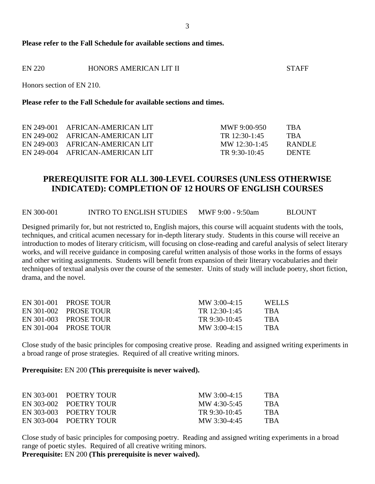#### **Please refer to the Fall Schedule for available sections and times.**

| EN 220 | HONORS AMERICAN LIT II | <b>STAFF</b> |
|--------|------------------------|--------------|
|        |                        |              |

Honors section of EN 210.

#### **Please refer to the Fall Schedule for available sections and times.**

| EN 249-001 AFRICAN-AMERICAN LIT | MWF 9:00-950    | TBA          |
|---------------------------------|-----------------|--------------|
| EN 249-002 AFRICAN-AMERICAN LIT | TR $12:30-1:45$ | <b>TRA</b>   |
| EN 249-003 AFRICAN-AMERICAN LIT | MW 12:30-1:45   | RANDLE       |
| EN 249-004 AFRICAN-AMERICAN LIT | TR $9:30-10:45$ | <b>DENTE</b> |

# **PREREQUISITE FOR ALL 300-LEVEL COURSES (UNLESS OTHERWISE INDICATED): COMPLETION OF 12 HOURS OF ENGLISH COURSES**

EN 300-001 INTRO TO ENGLISH STUDIES MWF 9:00 - 9:50am BLOUNT

Designed primarily for, but not restricted to, English majors, this course will acquaint students with the tools, techniques, and critical acumen necessary for in-depth literary study. Students in this course will receive an introduction to modes of literary criticism, will focusing on close-reading and careful analysis of select literary works, and will receive guidance in composing careful written analysis of those works in the forms of essays and other writing assignments. Students will benefit from expansion of their literary vocabularies and their techniques of textual analysis over the course of the semester. Units of study will include poetry, short fiction, drama, and the novel.

| <b>TRA</b> |
|------------|
| <b>TRA</b> |
| <b>TRA</b> |
|            |

Close study of the basic principles for composing creative prose. Reading and assigned writing experiments in a broad range of prose strategies. Required of all creative writing minors.

**Prerequisite:** EN 200 **(This prerequisite is never waived).**

| EN 303-001 POETRY TOUR | $\text{MW } 3:00 - 4:15$ | TBA        |
|------------------------|--------------------------|------------|
| EN 303-002 POETRY TOUR | MW 4:30-5:45             | <b>TBA</b> |
| EN 303-003 POETRY TOUR | TR $9:30-10:45$          | <b>TBA</b> |
| EN 303-004 POETRY TOUR | MW 3:30-4:45             | <b>TBA</b> |

Close study of basic principles for composing poetry. Reading and assigned writing experiments in a broad range of poetic styles. Required of all creative writing minors.

**Prerequisite:** EN 200 **(This prerequisite is never waived).**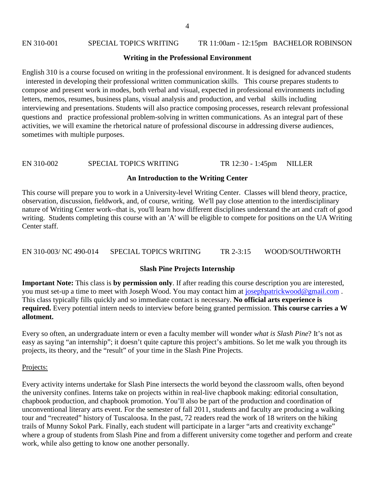# EN 310-001 SPECIAL TOPICS WRITING TR 11:00am - 12:15pm BACHELOR ROBINSON

# **Writing in the Professional Environment**

English 310 is a course focused on writing in the professional environment. It is designed for advanced students interested in developing their professional written communication skills. This course prepares students to compose and present work in modes, both verbal and visual, expected in professional environments including letters, memos, resumes, business plans, visual analysis and production, and verbal skills including interviewing and presentations. Students will also practice composing processes, research relevant professional questions and practice professional problem-solving in written communications. As an integral part of these activities, we will examine the rhetorical nature of professional discourse in addressing diverse audiences, sometimes with multiple purposes.

# EN 310-002 SPECIAL TOPICS WRITING TR 12:30 - 1:45pm NILLER

# **An Introduction to the Writing Center**

This course will prepare you to work in a University-level Writing Center. Classes will blend theory, practice, observation, discussion, fieldwork, and, of course, writing. We'll pay close attention to the interdisciplinary nature of Writing Center work--that is, you'll learn how different disciplines understand the art and craft of good writing. Students completing this course with an 'A' will be eligible to compete for positions on the UA Writing Center staff.

EN 310-003/ NC 490-014 SPECIAL TOPICS WRITING TR 2-3:15 WOOD/SOUTHWORTH

# **Slash Pine Projects Internship**

**Important Note:** This class is **by permission only**. If after reading this course description you are interested, you must set-up a time to meet with Joseph Wood. You may contact him at [josephpatrickwood@gmail.com](mailto:josephpatrickwood@gmail.com) . This class typically fills quickly and so immediate contact is necessary. **No official arts experience is required.** Every potential intern needs to interview before being granted permission. **This course carries a W allotment.** 

Every so often, an undergraduate intern or even a faculty member will wonder *what is Slash Pine*? It's not as easy as saying "an internship"; it doesn't quite capture this project's ambitions. So let me walk you through its projects, its theory, and the "result" of your time in the Slash Pine Projects.

# Projects:

Every activity interns undertake for Slash Pine intersects the world beyond the classroom walls, often beyond the university confines. Interns take on projects within in real-live chapbook making: editorial consultation, chapbook production, and chapbook promotion. You'll also be part of the production and coordination of unconventional literary arts event. For the semester of fall 2011, students and faculty are producing a walking tour and "recreated" history of Tuscaloosa. In the past, 72 readers read the work of 18 writers on the hiking trails of Munny Sokol Park. Finally, each student will participate in a larger "arts and creativity exchange" where a group of students from Slash Pine and from a different university come together and perform and create work, while also getting to know one another personally.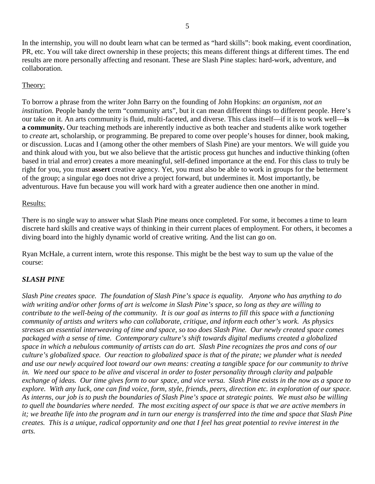5

In the internship, you will no doubt learn what can be termed as "hard skills": book making, event coordination, PR, etc. You will take direct ownership in these projects; this means different things at different times. The end results are more personally affecting and resonant. These are Slash Pine staples: hard-work, adventure, and collaboration.

# Theory:

To borrow a phrase from the writer John Barry on the founding of John Hopkins: *an organism, not an institution*. People bandy the term "community arts", but it can mean different things to different people. Here's our take on it. An arts community is fluid, multi-faceted, and diverse. This class itself—if it is to work well—**is a community.** Our teaching methods are inherently inductive as both teacher and students alike work together to *create* art, scholarship, or programming. Be prepared to come over people's houses for dinner, book making, or discussion. Lucas and I (among other the other members of Slash Pine) are your mentors. We will guide you and think aloud with you, but we also believe that the artistic process gut hunches and inductive thinking (often based in trial and error) creates a more meaningful, self-defined importance at the end. For this class to truly be right for you, you must **assert** creative agency. Yet, you must also be able to work in groups for the betterment of the group; a singular ego does not drive a project forward, but undermines it. Most importantly, be adventurous. Have fun because you will work hard with a greater audience then one another in mind.

# Results:

There is no single way to answer what Slash Pine means once completed. For some, it becomes a time to learn discrete hard skills and creative ways of thinking in their current places of employment. For others, it becomes a diving board into the highly dynamic world of creative writing. And the list can go on.

Ryan McHale, a current intern, wrote this response. This might be the best way to sum up the value of the course:

# *SLASH PINE*

*Slash Pine creates space. The foundation of Slash Pine's space is equality. Anyone who has anything to do with writing and/or other forms of art is welcome in Slash Pine's space, so long as they are willing to contribute to the well-being of the community. It is our goal as interns to fill this space with a functioning community of artists and writers who can collaborate, critique, and inform each other's work. As physics stresses an essential interweaving of time and space, so too does Slash Pine. Our newly created space comes packaged with a sense of time. Contemporary culture's shift towards digital mediums created a globalized space in which a nebulous community of artists can do art. Slash Pine recognizes the pros and cons of our culture's globalized space. Our reaction to globalized space is that of the pirate; we plunder what is needed and use our newly acquired loot toward our own means: creating a tangible space for our community to thrive in. We need our space to be alive and visceral in order to foster personality through clarity and palpable exchange of ideas. Our time gives form to our space, and vice versa. Slash Pine exists in the now as a space to explore. With any luck, one can find voice, form, style, friends, peers, direction etc. in exploration of our space. As interns, our job is to push the boundaries of Slash Pine's space at strategic points. We must also be willing to quell the boundaries where needed. The most exciting aspect of our space is that we are active members in it; we breathe life into the program and in turn our energy is transferred into the time and space that Slash Pine creates. This is a unique, radical opportunity and one that I feel has great potential to revive interest in the arts.*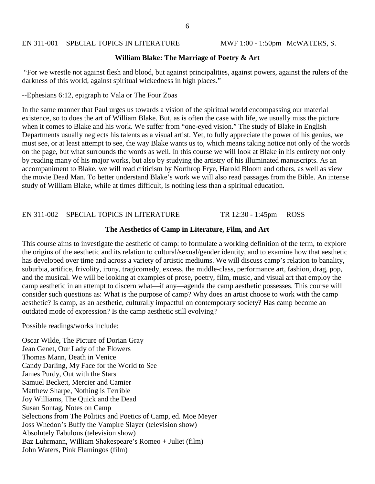#### EN 311-001 SPECIAL TOPICS IN LITERATURE MWF 1:00 - 1:50pm McWATERS, S.

#### **William Blake: The Marriage of Poetry & Art**

"For we wrestle not against flesh and blood, but against principalities, against powers, against the rulers of the darkness of this world, against spiritual wickedness in high places."

--Ephesians 6:12, epigraph to Vala or The Four Zoas

In the same manner that Paul urges us towards a vision of the spiritual world encompassing our material existence, so to does the art of William Blake. But, as is often the case with life, we usually miss the picture when it comes to Blake and his work. We suffer from "one-eyed vision." The study of Blake in English Departments usually neglects his talents as a visual artist. Yet, to fully appreciate the power of his genius, we must see, or at least attempt to see, the way Blake wants us to, which means taking notice not only of the words on the page, but what surrounds the words as well. In this course we will look at Blake in his entirety not only by reading many of his major works, but also by studying the artistry of his illuminated manuscripts. As an accompaniment to Blake, we will read criticism by Northrop Frye, Harold Bloom and others, as well as view the movie Dead Man. To better understand Blake's work we will also read passages from the Bible. An intense study of William Blake, while at times difficult, is nothing less than a spiritual education.

#### EN 311-002 SPECIAL TOPICS IN LITERATURE TR 12:30 - 1:45pm ROSS

#### **The Aesthetics of Camp in Literature, Film, and Art**

This course aims to investigate the aesthetic of camp: to formulate a working definition of the term, to explore the origins of the aesthetic and its relation to cultural/sexual/gender identity, and to examine how that aesthetic has developed over time and across a variety of artistic mediums. We will discuss camp's relation to banality, suburbia, artifice, frivolity, irony, tragicomedy, excess, the middle-class, performance art, fashion, drag, pop, and the musical. We will be looking at examples of prose, poetry, film, music, and visual art that employ the camp aesthetic in an attempt to discern what—if any—agenda the camp aesthetic possesses. This course will consider such questions as: What is the purpose of camp? Why does an artist choose to work with the camp aesthetic? Is camp, as an aesthetic, culturally impactful on contemporary society? Has camp become an outdated mode of expression? Is the camp aesthetic still evolving?

Possible readings/works include:

Oscar Wilde, The Picture of Dorian Gray Jean Genet, Our Lady of the Flowers Thomas Mann, Death in Venice Candy Darling, My Face for the World to See James Purdy, Out with the Stars Samuel Beckett, Mercier and Camier Matthew Sharpe, Nothing is Terrible Joy Williams, The Quick and the Dead Susan Sontag, Notes on Camp Selections from The Politics and Poetics of Camp, ed. Moe Meyer Joss Whedon's Buffy the Vampire Slayer (television show) Absolutely Fabulous (television show) Baz Luhrmann, William Shakespeare's Romeo + Juliet (film) John Waters, Pink Flamingos (film)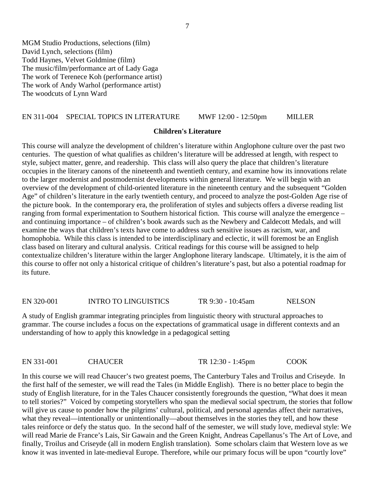MGM Studio Productions, selections (film) David Lynch, selections (film) Todd Haynes, Velvet Goldmine (film) The music/film/performance art of Lady Gaga The work of Terenece Koh (performance artist) The work of Andy Warhol (performance artist) The woodcuts of Lynn Ward

#### EN 311-004 SPECIAL TOPICS IN LITERATURE MWF 12:00 - 12:50pm MILLER

#### **Children's Literature**

This course will analyze the development of children's literature within Anglophone culture over the past two centuries. The question of what qualifies as children's literature will be addressed at length, with respect to style, subject matter, genre, and readership. This class will also query the place that children's literature occupies in the literary canons of the nineteenth and twentieth century, and examine how its innovations relate to the larger modernist and postmodernist developments within general literature. We will begin with an overview of the development of child-oriented literature in the nineteenth century and the subsequent "Golden Age" of children's literature in the early twentieth century, and proceed to analyze the post-Golden Age rise of the picture book. In the contemporary era, the proliferation of styles and subjects offers a diverse reading list ranging from formal experimentation to Southern historical fiction. This course will analyze the emergence – and continuing importance – of children's book awards such as the Newbery and Caldecott Medals, and will examine the ways that children's texts have come to address such sensitive issues as racism, war, and homophobia. While this class is intended to be interdisciplinary and eclectic, it will foremost be an English class based on literary and cultural analysis. Critical readings for this course will be assigned to help contextualize children's literature within the larger Anglophone literary landscape. Ultimately, it is the aim of this course to offer not only a historical critique of children's literature's past, but also a potential roadmap for its future.

EN 320-001 INTRO TO LINGUISTICS TR 9:30 - 10:45am NELSON

A study of English grammar integrating principles from linguistic theory with structural approaches to grammar. The course includes a focus on the expectations of grammatical usage in different contexts and an understanding of how to apply this knowledge in a pedagogical setting

EN 331-001 CHAUCER TR 12:30 - 1:45pm COOK

In this course we will read Chaucer's two greatest poems, The Canterbury Tales and Troilus and Criseyde. In the first half of the semester, we will read the Tales (in Middle English). There is no better place to begin the study of English literature, for in the Tales Chaucer consistently foregrounds the question, "What does it mean to tell stories?" Voiced by competing storytellers who span the medieval social spectrum, the stories that follow will give us cause to ponder how the pilgrims' cultural, political, and personal agendas affect their narratives, what they reveal—intentionally or unintentionally—about themselves in the stories they tell, and how these tales reinforce or defy the status quo. In the second half of the semester, we will study love, medieval style: We will read Marie de France's Lais, Sir Gawain and the Green Knight, Andreas Capellanus's The Art of Love, and finally, Troilus and Criseyde (all in modern English translation). Some scholars claim that Western love as we know it was invented in late-medieval Europe. Therefore, while our primary focus will be upon "courtly love"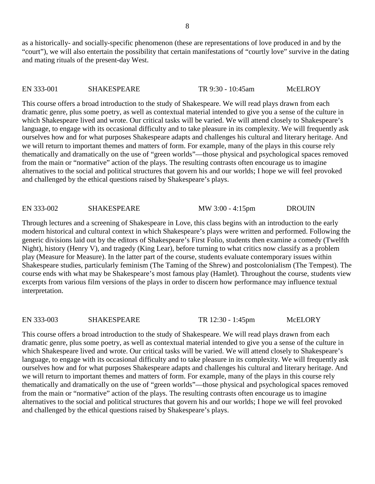as a historically- and socially-specific phenomenon (these are representations of love produced in and by the "court"), we will also entertain the possibility that certain manifestations of "courtly love" survive in the dating and mating rituals of the present-day West.

#### EN 333-001 SHAKESPEARE TR 9:30 - 10:45am McELROY

This course offers a broad introduction to the study of Shakespeare. We will read plays drawn from each dramatic genre, plus some poetry, as well as contextual material intended to give you a sense of the culture in which Shakespeare lived and wrote. Our critical tasks will be varied. We will attend closely to Shakespeare's language, to engage with its occasional difficulty and to take pleasure in its complexity. We will frequently ask ourselves how and for what purposes Shakespeare adapts and challenges his cultural and literary heritage. And we will return to important themes and matters of form. For example, many of the plays in this course rely thematically and dramatically on the use of "green worlds"—those physical and psychological spaces removed from the main or "normative" action of the plays. The resulting contrasts often encourage us to imagine alternatives to the social and political structures that govern his and our worlds; I hope we will feel provoked and challenged by the ethical questions raised by Shakespeare's plays.

#### EN 333-002 SHAKESPEARE MW 3:00 - 4:15pm DROUIN

Through lectures and a screening of Shakespeare in Love, this class begins with an introduction to the early modern historical and cultural context in which Shakespeare's plays were written and performed. Following the generic divisions laid out by the editors of Shakespeare's First Folio, students then examine a comedy (Twelfth Night), history (Henry V), and tragedy (King Lear), before turning to what critics now classify as a problem play (Measure for Measure). In the latter part of the course, students evaluate contemporary issues within Shakespeare studies, particularly feminism (The Taming of the Shrew) and postcolonialism (The Tempest). The course ends with what may be Shakespeare's most famous play (Hamlet). Throughout the course, students view excerpts from various film versions of the plays in order to discern how performance may influence textual interpretation.

#### EN 333-003 SHAKESPEARE TR 12:30 - 1:45pm McELORY

This course offers a broad introduction to the study of Shakespeare. We will read plays drawn from each dramatic genre, plus some poetry, as well as contextual material intended to give you a sense of the culture in which Shakespeare lived and wrote. Our critical tasks will be varied. We will attend closely to Shakespeare's language, to engage with its occasional difficulty and to take pleasure in its complexity. We will frequently ask ourselves how and for what purposes Shakespeare adapts and challenges his cultural and literary heritage. And we will return to important themes and matters of form. For example, many of the plays in this course rely thematically and dramatically on the use of "green worlds"—those physical and psychological spaces removed from the main or "normative" action of the plays. The resulting contrasts often encourage us to imagine alternatives to the social and political structures that govern his and our worlds; I hope we will feel provoked and challenged by the ethical questions raised by Shakespeare's plays.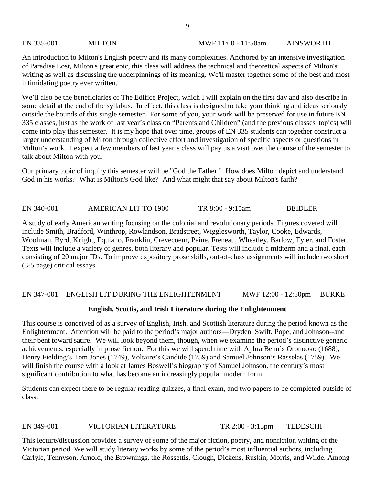# EN 335-001 MILTON MWF 11:00 - 11:50am AINSWORTH

An introduction to Milton's English poetry and its many complexities. Anchored by an intensive investigation of Paradise Lost, Milton's great epic, this class will address the technical and theoretical aspects of Milton's writing as well as discussing the underpinnings of its meaning. We'll master together some of the best and most intimidating poetry ever written.

We'll also be the beneficiaries of The Edifice Project, which I will explain on the first day and also describe in some detail at the end of the syllabus. In effect, this class is designed to take your thinking and ideas seriously outside the bounds of this single semester. For some of you, your work will be preserved for use in future EN 335 classes, just as the work of last year's class on "Parents and Children" (and the previous classes' topics) will come into play this semester. It is my hope that over time, groups of EN 335 students can together construct a larger understanding of Milton through collective effort and investigation of specific aspects or questions in Milton's work. I expect a few members of last year's class will pay us a visit over the course of the semester to talk about Milton with you.

Our primary topic of inquiry this semester will be "God the Father." How does Milton depict and understand God in his works? What is Milton's God like? And what might that say about Milton's faith?

EN 340-001 AMERICAN LIT TO 1900 TR 8:00 - 9:15am BEIDLER

A study of early American writing focusing on the colonial and revolutionary periods. Figures covered will include Smith, Bradford, Winthrop, Rowlandson, Bradstreet, Wigglesworth, Taylor, Cooke, Edwards, Woolman, Byrd, Knight, Equiano, Franklin, Crevecoeur, Paine, Freneau, Wheatley, Barlow, Tyler, and Foster. Texts will include a variety of genres, both literary and popular. Tests will include a midterm and a final, each consisting of 20 major IDs. To improve expository prose skills, out-of-class assignments will include two short (3-5 page) critical essays.

# EN 347-001 ENGLISH LIT DURING THE ENLIGHTENMENT MWF 12:00 - 12:50pm BURKE

# **English, Scottis, and Irish Literature during the Enlightenment**

This course is conceived of as a survey of English, Irish, and Scottish literature during the period known as the Enlightenment. Attention will be paid to the period's major authors—Dryden, Swift, Pope, and Johnson--and their bent toward satire. We will look beyond them, though, when we examine the period's distinctive generic achievements, especially in prose fiction. For this we will spend time with Aphra Behn's Oronooko (1688), Henry Fielding's Tom Jones (1749), Voltaire's Candide (1759) and Samuel Johnson's Rasselas (1759). We will finish the course with a look at James Boswell's biography of Samuel Johnson, the century's most significant contribution to what has become an increasingly popular modern form.

Students can expect there to be regular reading quizzes, a final exam, and two papers to be completed outside of class.

# EN 349-001 VICTORIAN LITERATURE TR 2:00 - 3:15pm TEDESCHI

This lecture/discussion provides a survey of some of the major fiction, poetry, and nonfiction writing of the Victorian period. We will study literary works by some of the period's most influential authors, including Carlyle, Tennyson, Arnold, the Brownings, the Rossettis, Clough, Dickens, Ruskin, Morris, and Wilde. Among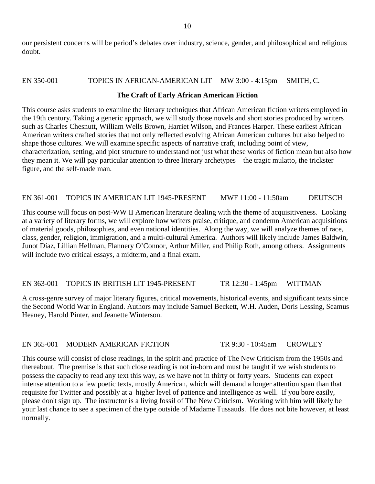our persistent concerns will be period's debates over industry, science, gender, and philosophical and religious doubt.

#### EN 350-001 TOPICS IN AFRICAN-AMERICAN LIT MW 3:00 - 4:15pm SMITH, C.

#### **The Craft of Early African American Fiction**

This course asks students to examine the literary techniques that African American fiction writers employed in the 19th century. Taking a generic approach, we will study those novels and short stories produced by writers such as Charles Chesnutt, William Wells Brown, Harriet Wilson, and Frances Harper. These earliest African American writers crafted stories that not only reflected evolving African American cultures but also helped to shape those cultures. We will examine specific aspects of narrative craft, including point of view, characterization, setting, and plot structure to understand not just what these works of fiction mean but also how they mean it. We will pay particular attention to three literary archetypes – the tragic mulatto, the trickster figure, and the self-made man.

#### EN 361-001 TOPICS IN AMERICAN LIT 1945-PRESENT MWF 11:00 - 11:50am DEUTSCH

This course will focus on post-WW II American literature dealing with the theme of acquisitiveness. Looking at a variety of literary forms, we will explore how writers praise, critique, and condemn American acquisitions of material goods, philosophies, and even national identities. Along the way, we will analyze themes of race, class, gender, religion, immigration, and a multi-cultural America. Authors will likely include James Baldwin, Junot Díaz, Lillian Hellman, Flannery O'Connor, Arthur Miller, and Philip Roth, among others. Assignments will include two critical essays, a midterm, and a final exam.

### EN 363-001 TOPICS IN BRITISH LIT 1945-PRESENT TR 12:30 - 1:45pm WITTMAN

A cross-genre survey of major literary figures, critical movements, historical events, and significant texts since the Second World War in England. Authors may include Samuel Beckett, W.H. Auden, Doris Lessing, Seamus Heaney, Harold Pinter, and Jeanette Winterson.

#### EN 365-001 MODERN AMERICAN FICTION TR 9:30 - 10:45am CROWLEY

This course will consist of close readings, in the spirit and practice of The New Criticism from the 1950s and thereabout. The premise is that such close reading is not in-born and must be taught if we wish students to possess the capacity to read any text this way, as we have not in thirty or forty years. Students can expect intense attention to a few poetic texts, mostly American, which will demand a longer attention span than that requisite for Twitter and possibly at a higher level of patience and intelligence as well. If you bore easily, please don't sign up. The instructor is a living fossil of The New Criticism. Working with him will likely be your last chance to see a specimen of the type outside of Madame Tussauds. He does not bite however, at least normally.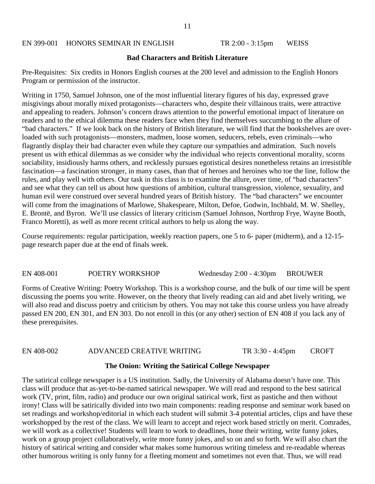#### EN 399-001 HONORS SEMINAR IN ENGLISH TR 2:00 - 3:15pm WEISS

#### **Bad Characters and British Literature**

Pre-Requisites: Six credits in Honors English courses at the 200 level and admission to the English Honors Program or permission of the instructor.

Writing in 1750, Samuel Johnson, one of the most influential literary figures of his day, expressed grave misgivings about morally mixed protagonists—characters who, despite their villainous traits, were attractive and appealing to readers. Johnson's concern draws attention to the powerful emotional impact of literature on readers and to the ethical dilemma these readers face when they find themselves succumbing to the allure of "bad characters." If we look back on the history of British literature, we will find that the bookshelves are overloaded with such protagonists—monsters, madmen, loose women, seducers, rebels, even criminals—who flagrantly display their bad character even while they capture our sympathies and admiration. Such novels present us with ethical dilemmas as we consider why the individual who rejects conventional morality, scorns sociability, insidiously harms others, and recklessly pursues egotistical desires nonetheless retains an irresistible fascination—a fascination stronger, in many cases, than that of heroes and heroines who toe the line, follow the rules, and play well with others. Our task in this class is to examine the allure, over time, of "bad characters" and see what they can tell us about how questions of ambition, cultural transgression, violence, sexuality, and human evil were construed over several hundred years of British history. The "bad characters" we encounter will come from the imaginations of Marlowe, Shakespeare, Milton, Defoe, Godwin, Inchbald, M. W. Shelley, E. Brontë, and Byron. We'll use classics of literary criticism (Samuel Johnson, Northrop Frye, Wayne Booth, Franco Moretti), as well as more recent critical authors to help us along the way.

Course requirements: regular participation, weekly reaction papers, one 5 to 6- paper (midterm), and a 12-15 page research paper due at the end of finals week.

EN 408-001 POETRY WORKSHOP Wednesday 2:00 - 4:30pm BROUWER

Forms of Creative Writing: Poetry Workshop. This is a workshop course, and the bulk of our time will be spent discussing the poems you write. However, on the theory that lively reading can aid and abet lively writing, we will also read and discuss poetry and criticism by others. You may not take this course unless you have already passed EN 200, EN 301, and EN 303. Do not enroll in this (or any other) section of EN 408 if you lack any of these prerequisites.

# EN 408-002 ADVANCED CREATIVE WRITING TR 3:30 - 4:45pm CROFT

#### **The Onion: Writing the Satirical College Newspaper**

The satirical college newspaper is a US institution. Sadly, the University of Alabama doesn't have one. This class will produce that as-yet-to-be-named satirical newspaper. We will read and respond to the best satirical work (TV, print, film, radio) and produce our own original satirical work, first as pastiche and then without irony! Class will be satirically divided into two main components: reading response and seminar work based on set readings and workshop/editorial in which each student will submit 3-4 potential articles, clips and have these workshopped by the rest of the class. We will learn to accept and reject work based strictly on merit. Comrades, we will work as a collective! Students will learn to work to deadlines, hone their writing, write funny jokes, work on a group project collaboratively, write more funny jokes, and so on and so forth. We will also chart the history of satirical writing and consider what makes some humorous writing timeless and re-readable whereas other humorous writing is only funny for a fleeting moment and sometimes not even that. Thus, we will read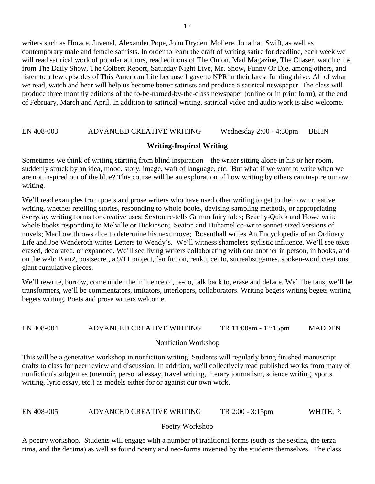writers such as Horace, Juvenal, Alexander Pope, John Dryden, Moliere, Jonathan Swift, as well as contemporary male and female satirists. In order to learn the craft of writing satire for deadline, each week we will read satirical work of popular authors, read editions of The Onion, Mad Magazine, The Chaser, watch clips from The Daily Show, The Colbert Report, Saturday Night Live, Mr. Show, Funny Or Die, among others, and listen to a few episodes of This American Life because I gave to NPR in their latest funding drive. All of what we read, watch and hear will help us become better satirists and produce a satirical newspaper. The class will produce three monthly editions of the to-be-named-by-the-class newspaper (online or in print form), at the end of February, March and April. In addition to satirical writing, satirical video and audio work is also welcome.

### EN 408-003 ADVANCED CREATIVE WRITING Wednesday 2:00 - 4:30pm BEHN

### **Writing-Inspired Writing**

Sometimes we think of writing starting from blind inspiration—the writer sitting alone in his or her room, suddenly struck by an idea, mood, story, image, waft of language, etc. But what if we want to write when we are not inspired out of the blue? This course will be an exploration of how writing by others can inspire our own writing.

We'll read examples from poets and prose writers who have used other writing to get to their own creative writing, whether retelling stories, responding to whole books, devising sampling methods, or appropriating everyday writing forms for creative uses: Sexton re-tells Grimm fairy tales; Beachy-Quick and Howe write whole books responding to Melville or Dickinson; Seaton and Duhamel co-write sonnet-sized versions of novels; MacLow throws dice to determine his next move; Rosenthall writes An Encyclopedia of an Ordinary Life and Joe Wenderoth writes Letters to Wendy's. We'll witness shameless stylistic influence. We'll see texts erased, decorated, or expanded. We'll see living writers collaborating with one another in person, in books, and on the web: Pom2, postsecret, a 9/11 project, fan fiction, renku, cento, surrealist games, spoken-word creations, giant cumulative pieces.

We'll rewrite, borrow, come under the influence of, re-do, talk back to, erase and deface. We'll be fans, we'll be transformers, we'll be commentators, imitators, interlopers, collaborators. Writing begets writing begets writing begets writing. Poets and prose writers welcome.

### EN 408-004 ADVANCED CREATIVE WRITING TR 11:00am - 12:15pm MADDEN

### Nonfiction Workshop

This will be a generative workshop in nonfiction writing. Students will regularly bring finished manuscript drafts to class for peer review and discussion. In addition, we'll collectively read published works from many of nonfiction's subgenres (memoir, personal essay, travel writing, literary journalism, science writing, sports writing, lyric essay, etc.) as models either for or against our own work.

### EN 408-005 ADVANCED CREATIVE WRITING TR 2:00 - 3:15pm WHITE, P.

### Poetry Workshop

A poetry workshop. Students will engage with a number of traditional forms (such as the sestina, the terza rima, and the decima) as well as found poetry and neo-forms invented by the students themselves. The class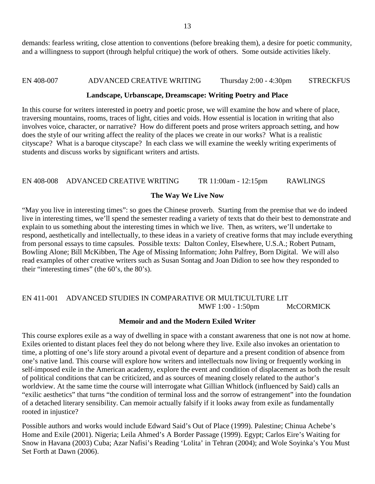demands: fearless writing, close attention to conventions (before breaking them), a desire for poetic community, and a willingness to support (through helpful critique) the work of others. Some outside activities likely.

# EN 408-007 ADVANCED CREATIVE WRITING Thursday 2:00 - 4:30pm STRECKFUS

## **Landscape, Urbanscape, Dreamscape: Writing Poetry and Place**

In this course for writers interested in poetry and poetic prose, we will examine the how and where of place, traversing mountains, rooms, traces of light, cities and voids. How essential is location in writing that also involves voice, character, or narrative? How do different poets and prose writers approach setting, and how does the style of our writing affect the reality of the places we create in our works? What is a realistic cityscape? What is a baroque cityscape? In each class we will examine the weekly writing experiments of students and discuss works by significant writers and artists.

# EN 408-008 ADVANCED CREATIVE WRITING TR 11:00am - 12:15pm RAWLINGS

# **The Way We Live Now**

"May you live in interesting times": so goes the Chinese proverb. Starting from the premise that we do indeed live in interesting times, we'll spend the semester reading a variety of texts that do their best to demonstrate and explain to us something about the interesting times in which we live. Then, as writers, we'll undertake to respond, aesthetically and intellectually, to these ideas in a variety of creative forms that may include everything from personal essays to time capsules. Possible texts: Dalton Conley, Elsewhere, U.S.A.; Robert Putnam, Bowling Alone; Bill McKibben, The Age of Missing Information; John Palfrey, Born Digital. We will also read examples of other creative writers such as Susan Sontag and Joan Didion to see how they responded to their "interesting times" (the 60's, the 80's).

# EN 411-001 ADVANCED STUDIES IN COMPARATIVE OR MULTICULTURE LIT MWF 1:00 - 1:50pm McCORMICK

# **Memoir and and the Modern Exiled Writer**

This course explores exile as a way of dwelling in space with a constant awareness that one is not now at home. Exiles oriented to distant places feel they do not belong where they live. Exile also invokes an orientation to time, a plotting of one's life story around a pivotal event of departure and a present condition of absence from one's native land. This course will explore how writers and intellectuals now living or frequently working in self-imposed exile in the American academy, explore the event and condition of displacement as both the result of political conditions that can be criticized, and as sources of meaning closely related to the author's worldview. At the same time the course will interrogate what Gillian Whitlock (influenced by Said) calls an "exilic aesthetics" that turns "the condition of terminal loss and the sorrow of estrangement" into the foundation of a detached literary sensibility. Can memoir actually falsify if it looks away from exile as fundamentally rooted in injustice?

Possible authors and works would include Edward Said's Out of Place (1999). Palestine; Chinua Achebe's Home and Exile (2001). Nigeria; Leila Ahmed's A Border Passage (1999). Egypt; Carlos Eire's Waiting for Snow in Havana (2003) Cuba; Azar Nafisi's Reading 'Lolita' in Tehran (2004); and Wole Soyinka's You Must Set Forth at Dawn (2006).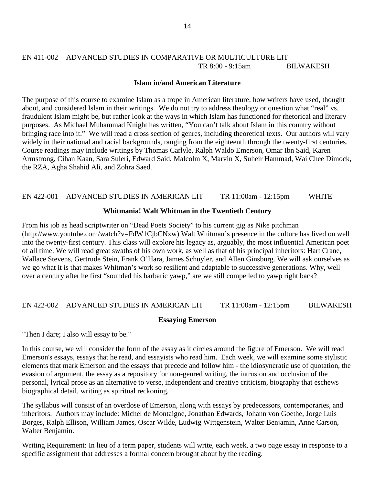# EN 411-002 ADVANCED STUDIES IN COMPARATIVE OR MULTICULTURE LIT TR 8:00 - 9:15am BILWAKESH

#### **Islam in/and American Literature**

The purpose of this course to examine Islam as a trope in American literature, how writers have used, thought about, and considered Islam in their writings. We do not try to address theology or question what "real" vs. fraudulent Islam might be, but rather look at the ways in which Islam has functioned for rhetorical and literary purposes. As Michael Muhammad Knight has written, "You can't talk about Islam in this country without bringing race into it." We will read a cross section of genres, including theoretical texts. Our authors will vary widely in their national and racial backgrounds, ranging from the eighteenth through the twenty-first centuries. Course readings may include writings by Thomas Carlyle, Ralph Waldo Emerson, Omar Ibn Said, Karen Armstrong, Cihan Kaan, Sara Suleri, Edward Said, Malcolm X, Marvin X, Suheir Hammad, Wai Chee Dimock, the RZA, Agha Shahid Ali, and Zohra Saed.

# EN 422-001 ADVANCED STUDIES IN AMERICAN LIT TR 11:00am - 12:15pm WHITE

#### **Whitmania! Walt Whitman in the Twentieth Century**

From his job as head scriptwriter on "Dead Poets Society" to his current gig as Nike pitchman (http://www.youtube.com/watch?v=FdW1CjbCNxw) Walt Whitman's presence in the culture has lived on well into the twenty-first century. This class will explore his legacy as, arguably, the most influential American poet of all time. We will read great swaths of his own work, as well as that of his principal inheritors: Hart Crane, Wallace Stevens, Gertrude Stein, Frank O'Hara, James Schuyler, and Allen Ginsburg. We will ask ourselves as we go what it is that makes Whitman's work so resilient and adaptable to successive generations. Why, well over a century after he first "sounded his barbaric yawp," are we still compelled to yawp right back?

### EN 422-002 ADVANCED STUDIES IN AMERICAN LIT TR 11:00am - 12:15pm BILWAKESH

### **Essaying Emerson**

"Then I dare; I also will essay to be."

In this course, we will consider the form of the essay as it circles around the figure of Emerson. We will read Emerson's essays, essays that he read, and essayists who read him. Each week, we will examine some stylistic elements that mark Emerson and the essays that precede and follow him - the idiosyncratic use of quotation, the evasion of argument, the essay as a repository for non-genred writing, the intrusion and occlusion of the personal, lyrical prose as an alternative to verse, independent and creative criticism, biography that eschews biographical detail, writing as spiritual reckoning.

The syllabus will consist of an overdose of Emerson, along with essays by predecessors, contemporaries, and inheritors. Authors may include: Michel de Montaigne, Jonathan Edwards, Johann von Goethe, Jorge Luis Borges, Ralph Ellison, William James, Oscar Wilde, Ludwig Wittgenstein, Walter Benjamin, Anne Carson, Walter Benjamin.

Writing Requirement: In lieu of a term paper, students will write, each week, a two page essay in response to a specific assignment that addresses a formal concern brought about by the reading.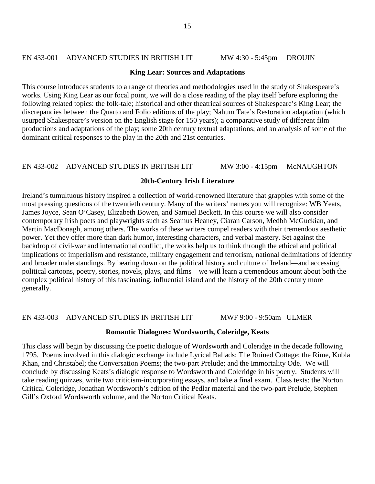### EN 433-001 ADVANCED STUDIES IN BRITISH LIT MW 4:30 - 5:45pm DROUIN

#### **King Lear: Sources and Adaptations**

This course introduces students to a range of theories and methodologies used in the study of Shakespeare's works. Using King Lear as our focal point, we will do a close reading of the play itself before exploring the following related topics: the folk-tale; historical and other theatrical sources of Shakespeare's King Lear; the discrepancies between the Quarto and Folio editions of the play; Nahum Tate's Restoration adaptation (which usurped Shakespeare's version on the English stage for 150 years); a comparative study of different film productions and adaptations of the play; some 20th century textual adaptations; and an analysis of some of the dominant critical responses to the play in the 20th and 21st centuries.

# EN 433-002 ADVANCED STUDIES IN BRITISH LIT MW 3:00 - 4:15pm McNAUGHTON

#### **20th-Century Irish Literature**

Ireland's tumultuous history inspired a collection of world-renowned literature that grapples with some of the most pressing questions of the twentieth century. Many of the writers' names you will recognize: WB Yeats, James Joyce, Sean O'Casey, Elizabeth Bowen, and Samuel Beckett. In this course we will also consider contemporary Irish poets and playwrights such as Seamus Heaney, Ciaran Carson, Medbh McGuckian, and Martin MacDonagh, among others. The works of these writers compel readers with their tremendous aesthetic power. Yet they offer more than dark humor, interesting characters, and verbal mastery. Set against the backdrop of civil-war and international conflict, the works help us to think through the ethical and political implications of imperialism and resistance, military engagement and terrorism, national delimitations of identity and broader understandings. By bearing down on the political history and culture of Ireland—and accessing political cartoons, poetry, stories, novels, plays, and films—we will learn a tremendous amount about both the complex political history of this fascinating, influential island and the history of the 20th century more generally.

#### EN 433-003 ADVANCED STUDIES IN BRITISH LIT MWF 9:00 - 9:50am ULMER

#### **Romantic Dialogues: Wordsworth, Coleridge, Keats**

This class will begin by discussing the poetic dialogue of Wordsworth and Coleridge in the decade following 1795. Poems involved in this dialogic exchange include Lyrical Ballads; The Ruined Cottage; the Rime, Kubla Khan, and Christabel; the Conversation Poems; the two-part Prelude; and the Immortality Ode. We will conclude by discussing Keats's dialogic response to Wordsworth and Coleridge in his poetry. Students will take reading quizzes, write two criticism-incorporating essays, and take a final exam. Class texts: the Norton Critical Coleridge, Jonathan Wordsworth's edition of the Pedlar material and the two-part Prelude, Stephen Gill's Oxford Wordsworth volume, and the Norton Critical Keats.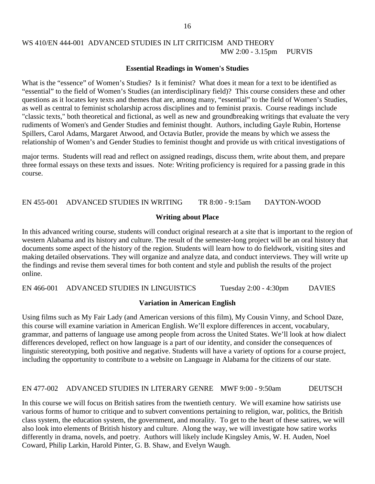# WS 410/EN 444-001 ADVANCED STUDIES IN LIT CRITICISM AND THEORY MW 2:00 - 3.15pm PURVIS

#### **Essential Readings in Women's Studies**

What is the "essence" of Women's Studies? Is it feminist? What does it mean for a text to be identified as "essential" to the field of Women's Studies (an interdisciplinary field)? This course considers these and other questions as it locates key texts and themes that are, among many, "essential" to the field of Women's Studies, as well as central to feminist scholarship across disciplines and to feminist praxis. Course readings include "classic texts," both theoretical and fictional, as well as new and groundbreaking writings that evaluate the very rudiments of Women's and Gender Studies and feminist thought. Authors, including Gayle Rubin, Hortense Spillers, Carol Adams, Margaret Atwood, and Octavia Butler, provide the means by which we assess the relationship of Women's and Gender Studies to feminist thought and provide us with critical investigations of

major terms. Students will read and reflect on assigned readings, discuss them, write about them, and prepare three formal essays on these texts and issues. Note: Writing proficiency is required for a passing grade in this course.

EN 455-001 ADVANCED STUDIES IN WRITING TR 8:00 - 9:15am DAYTON-WOOD

#### **Writing about Place**

In this advanced writing course, students will conduct original research at a site that is important to the region of western Alabama and its history and culture. The result of the semester-long project will be an oral history that documents some aspect of the history of the region. Students will learn how to do fieldwork, visiting sites and making detailed observations. They will organize and analyze data, and conduct interviews. They will write up the findings and revise them several times for both content and style and publish the results of the project online.

EN 466-001 ADVANCED STUDIES IN LINGUISTICS Tuesday 2:00 - 4:30pm DAVIES

### **Variation in American English**

Using films such as My Fair Lady (and American versions of this film), My Cousin Vinny, and School Daze, this course will examine variation in American English. We'll explore differences in accent, vocabulary, grammar, and patterns of language use among people from across the United States. We'll look at how dialect differences developed, reflect on how language is a part of our identity, and consider the consequences of linguistic stereotyping, both positive and negative. Students will have a variety of options for a course project, including the opportunity to contribute to a website on Language in Alabama for the citizens of our state.

#### EN 477-002 ADVANCED STUDIES IN LITERARY GENRE MWF 9:00 - 9:50am DEUTSCH

In this course we will focus on British satires from the twentieth century. We will examine how satirists use various forms of humor to critique and to subvert conventions pertaining to religion, war, politics, the British class system, the education system, the government, and morality. To get to the heart of these satires, we will also look into elements of British history and culture. Along the way, we will investigate how satire works differently in drama, novels, and poetry. Authors will likely include Kingsley Amis, W. H. Auden, Noel Coward, Philip Larkin, Harold Pinter, G. B. Shaw, and Evelyn Waugh.